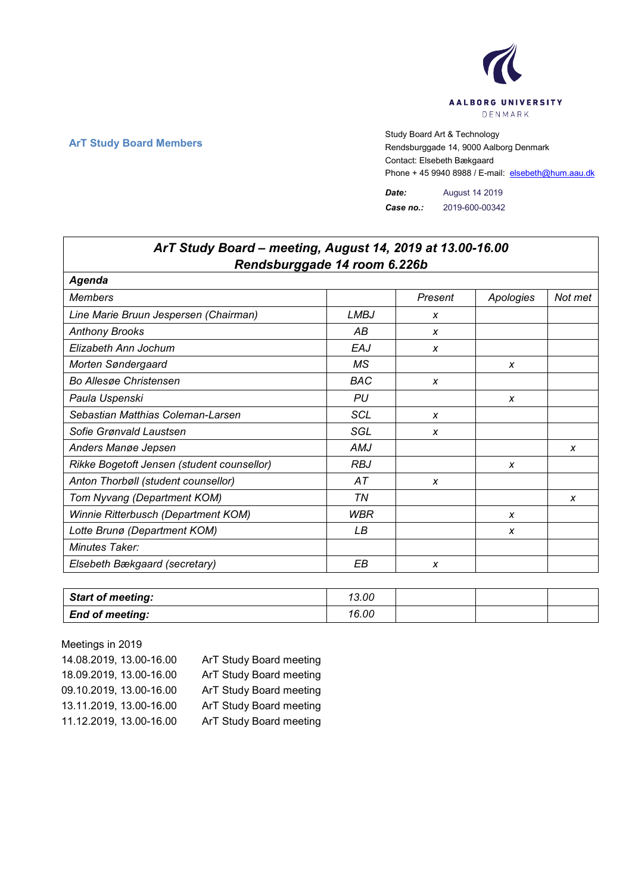

## **ArT Study Board Members** Study Board Art & Technology **Art Study Board Art & Technology** Rendsburggade 14, 9000 Aalborg Denmark Contact: Elsebeth Bækgaard Phone + 45 9940 8988 / E-mail: elsebeth@hum.aau.dk

*Date:* August 14 2019 *Case no.:* 2019-600-00342

## *Rendsburggade 14 room 6.226b Agenda Members Present Apologies Not met Line Marie Bruun Jespersen (Chairman) LMBJ x Anthony Brooks AB x Elizabeth Ann Jochum EAJ x Morten Søndergaard MS x Bo Allesøe Christensen BAC x Paula Uspenski PU x Sebastian Matthias Coleman-Larsen* **Fig. 1** SCL **I** X *Sofie Grønvald Laustsen SGL x Anders Manøe Jepsen AMJ x Rikke Bogetoft Jensen (student counsellor) RBJ x Anton Thorbøll (student counsellor) AT x Tom Nyvang (Department KOM) TN x Winnie Ritterbusch (Department KOM) WBR x Lotte Brunø (Department KOM) LB x Minutes Taker: Elsebeth Bækgaard (secretary) EB x*

| <b>Start of meeting:</b> | 13.00 |  |  |
|--------------------------|-------|--|--|
| <b>End of meeting:</b>   | 16.00 |  |  |

Meetings in 2019

| 14.08.2019, 13.00-16.00 | ArT Study Board meeting |
|-------------------------|-------------------------|
| 18.09.2019, 13.00-16.00 | ArT Study Board meeting |
| 09.10.2019, 13.00-16.00 | ArT Study Board meeting |
| 13.11.2019, 13.00-16.00 | ArT Study Board meeting |
| 11.12.2019, 13.00-16.00 | ArT Study Board meeting |

## *ArT Study Board – meeting, August 14, 2019 at 13.00-16.00*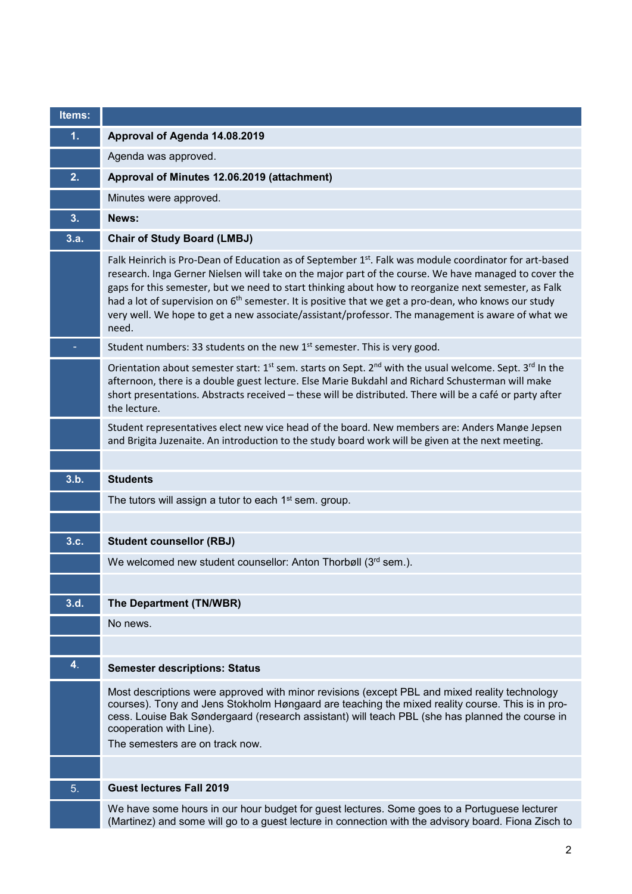| Items:         |                                                                                                                                                                                                                                                                                                                                                                                                                                                                                                                                                          |
|----------------|----------------------------------------------------------------------------------------------------------------------------------------------------------------------------------------------------------------------------------------------------------------------------------------------------------------------------------------------------------------------------------------------------------------------------------------------------------------------------------------------------------------------------------------------------------|
| 1.             | Approval of Agenda 14.08.2019                                                                                                                                                                                                                                                                                                                                                                                                                                                                                                                            |
|                | Agenda was approved.                                                                                                                                                                                                                                                                                                                                                                                                                                                                                                                                     |
| 2.             | Approval of Minutes 12.06.2019 (attachment)                                                                                                                                                                                                                                                                                                                                                                                                                                                                                                              |
|                | Minutes were approved.                                                                                                                                                                                                                                                                                                                                                                                                                                                                                                                                   |
| 3.             | News:                                                                                                                                                                                                                                                                                                                                                                                                                                                                                                                                                    |
| 3.a.           | <b>Chair of Study Board (LMBJ)</b>                                                                                                                                                                                                                                                                                                                                                                                                                                                                                                                       |
|                | Falk Heinrich is Pro-Dean of Education as of September 1st. Falk was module coordinator for art-based<br>research. Inga Gerner Nielsen will take on the major part of the course. We have managed to cover the<br>gaps for this semester, but we need to start thinking about how to reorganize next semester, as Falk<br>had a lot of supervision on 6 <sup>th</sup> semester. It is positive that we get a pro-dean, who knows our study<br>very well. We hope to get a new associate/assistant/professor. The management is aware of what we<br>need. |
|                | Student numbers: 33 students on the new 1 <sup>st</sup> semester. This is very good.                                                                                                                                                                                                                                                                                                                                                                                                                                                                     |
|                | Orientation about semester start: 1 <sup>st</sup> sem. starts on Sept. 2 <sup>nd</sup> with the usual welcome. Sept. 3 <sup>rd</sup> In the<br>afternoon, there is a double guest lecture. Else Marie Bukdahl and Richard Schusterman will make<br>short presentations. Abstracts received - these will be distributed. There will be a café or party after<br>the lecture.                                                                                                                                                                              |
|                | Student representatives elect new vice head of the board. New members are: Anders Manøe Jepsen<br>and Brigita Juzenaite. An introduction to the study board work will be given at the next meeting.                                                                                                                                                                                                                                                                                                                                                      |
|                |                                                                                                                                                                                                                                                                                                                                                                                                                                                                                                                                                          |
| 3.b.           | <b>Students</b>                                                                                                                                                                                                                                                                                                                                                                                                                                                                                                                                          |
|                | The tutors will assign a tutor to each 1 <sup>st</sup> sem. group.                                                                                                                                                                                                                                                                                                                                                                                                                                                                                       |
|                |                                                                                                                                                                                                                                                                                                                                                                                                                                                                                                                                                          |
| 3.c.           | <b>Student counsellor (RBJ)</b>                                                                                                                                                                                                                                                                                                                                                                                                                                                                                                                          |
|                | We welcomed new student counsellor: Anton Thorbøll (3rd sem.).                                                                                                                                                                                                                                                                                                                                                                                                                                                                                           |
|                |                                                                                                                                                                                                                                                                                                                                                                                                                                                                                                                                                          |
| 3.d.           | The Department (TN/WBR)                                                                                                                                                                                                                                                                                                                                                                                                                                                                                                                                  |
|                | No news.                                                                                                                                                                                                                                                                                                                                                                                                                                                                                                                                                 |
|                |                                                                                                                                                                                                                                                                                                                                                                                                                                                                                                                                                          |
| 4 <sub>1</sub> | <b>Semester descriptions: Status</b>                                                                                                                                                                                                                                                                                                                                                                                                                                                                                                                     |
|                | Most descriptions were approved with minor revisions (except PBL and mixed reality technology<br>courses). Tony and Jens Stokholm Høngaard are teaching the mixed reality course. This is in pro-<br>cess. Louise Bak Søndergaard (research assistant) will teach PBL (she has planned the course in<br>cooperation with Line).<br>The semesters are on track now.                                                                                                                                                                                       |
|                |                                                                                                                                                                                                                                                                                                                                                                                                                                                                                                                                                          |
| 5.             | <b>Guest lectures Fall 2019</b>                                                                                                                                                                                                                                                                                                                                                                                                                                                                                                                          |
|                | We have some hours in our hour budget for guest lectures. Some goes to a Portuguese lecturer<br>(Martinez) and some will go to a guest lecture in connection with the advisory board. Fiona Zisch to                                                                                                                                                                                                                                                                                                                                                     |